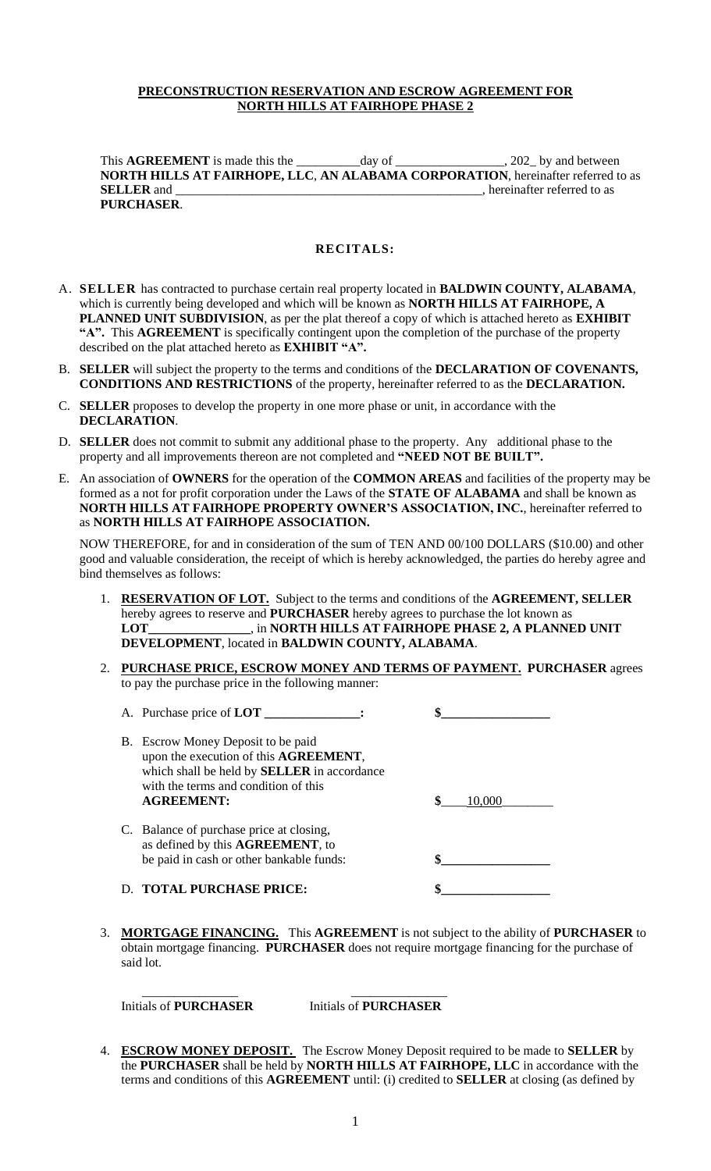## **PRECONSTRUCTION RESERVATION AND ESCROW AGREEMENT FOR NORTH HILLS AT FAIRHOPE PHASE 2**

This **AGREEMENT** is made this the day of the all the 202 by and between **NORTH HILLS AT FAIRHOPE, LLC**, **AN ALABAMA CORPORATION**, hereinafter referred to as **SELLER** and \_\_\_\_\_\_\_\_\_\_\_\_\_\_\_\_\_\_\_\_\_\_\_\_\_\_\_\_\_\_\_\_\_\_\_\_\_\_\_\_\_\_\_\_\_\_\_\_, hereinafter referred to as **PURCHASER**.

### **RECITALS:**

- A. **SELLER** has contracted to purchase certain real property located in **BALDWIN COUNTY, ALABAMA**, which is currently being developed and which will be known as **NORTH HILLS AT FAIRHOPE, A PLANNED UNIT SUBDIVISION**, as per the plat thereof a copy of which is attached hereto as **EXHIBIT "A".** This **AGREEMENT** is specifically contingent upon the completion of the purchase of the property described on the plat attached hereto as **EXHIBIT "A".**
- B. **SELLER** will subject the property to the terms and conditions of the **DECLARATION OF COVENANTS, CONDITIONS AND RESTRICTIONS** of the property, hereinafter referred to as the **DECLARATION.**
- C. **SELLER** proposes to develop the property in one more phase or unit, in accordance with the **DECLARATION**.
- D. **SELLER** does not commit to submit any additional phase to the property. Any additional phase to the property and all improvements thereon are not completed and **"NEED NOT BE BUILT".**
- E. An association of **OWNERS** for the operation of the **COMMON AREAS** and facilities of the property may be formed as a not for profit corporation under the Laws of the **STATE OF ALABAMA** and shall be known as **NORTH HILLS AT FAIRHOPE PROPERTY OWNER'S ASSOCIATION, INC.**, hereinafter referred to as **NORTH HILLS AT FAIRHOPE ASSOCIATION.**

NOW THEREFORE, for and in consideration of the sum of TEN AND 00/100 DOLLARS (\$10.00) and other good and valuable consideration, the receipt of which is hereby acknowledged, the parties do hereby agree and bind themselves as follows:

- 1. **RESERVATION OF LOT.** Subject to the terms and conditions of the **AGREEMENT, SELLER** hereby agrees to reserve and **PURCHASER** hereby agrees to purchase the lot known as **LOT\_\_\_\_\_\_\_\_\_\_\_\_\_\_\_\_**, in **NORTH HILLS AT FAIRHOPE PHASE 2, A PLANNED UNIT DEVELOPMENT**, located in **BALDWIN COUNTY, ALABAMA**.
- 2. **PURCHASE PRICE, ESCROW MONEY AND TERMS OF PAYMENT. PURCHASER** agrees to pay the purchase price in the following manner:

| A. Purchase price of <b>LOT</b>                                                                                                                                                                |        |
|------------------------------------------------------------------------------------------------------------------------------------------------------------------------------------------------|--------|
| B. Escrow Money Deposit to be paid<br>upon the execution of this AGREEMENT,<br>which shall be held by <b>SELLER</b> in accordance<br>with the terms and condition of this<br><b>AGREEMENT:</b> | 10.000 |
| C. Balance of purchase price at closing,<br>as defined by this AGREEMENT, to<br>be paid in cash or other bankable funds:                                                                       |        |
| <b>TOTAL PURCHASE PRICE:</b>                                                                                                                                                                   |        |

3. **MORTGAGE FINANCING.** This **AGREEMENT** is not subject to the ability of **PURCHASER** to obtain mortgage financing. **PURCHASER** does not require mortgage financing for the purchase of said lot.

Initials of **PURCHASER** Initials of **PURCHASER**

\_\_\_\_\_\_\_\_\_\_\_\_\_\_\_ \_\_\_\_\_\_\_\_\_\_\_\_\_\_\_

4. **ESCROW MONEY DEPOSIT.** The Escrow Money Deposit required to be made to **SELLER** by the **PURCHASER** shall be held by **NORTH HILLS AT FAIRHOPE, LLC** in accordance with the terms and conditions of this **AGREEMENT** until: (i) credited to **SELLER** at closing (as defined by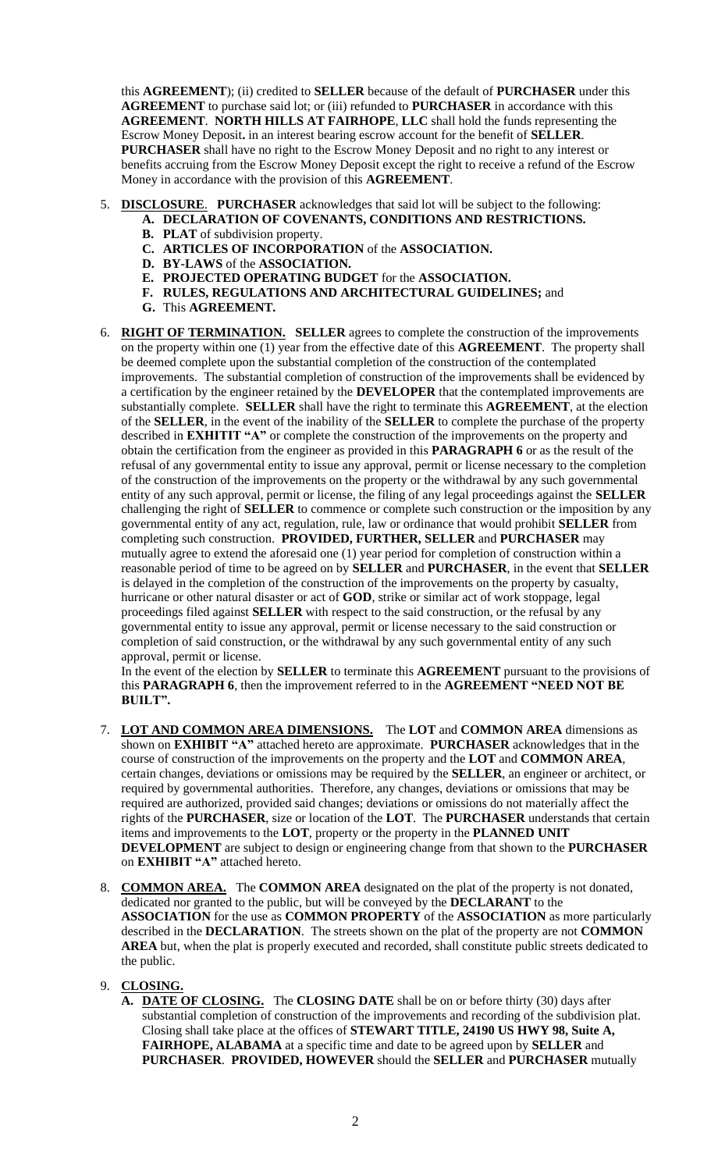this **AGREEMENT**); (ii) credited to **SELLER** because of the default of **PURCHASER** under this **AGREEMENT** to purchase said lot; or (iii) refunded to **PURCHASER** in accordance with this **AGREEMENT**. **NORTH HILLS AT FAIRHOPE**, **LLC** shall hold the funds representing the Escrow Money Deposit**.** in an interest bearing escrow account for the benefit of **SELLER**. **PURCHASER** shall have no right to the Escrow Money Deposit and no right to any interest or benefits accruing from the Escrow Money Deposit except the right to receive a refund of the Escrow Money in accordance with the provision of this **AGREEMENT**.

- 5. **DISCLOSURE**. **PURCHASER** acknowledges that said lot will be subject to the following:
	- **A. DECLARATION OF COVENANTS, CONDITIONS AND RESTRICTIONS.**
	- **B. PLAT** of subdivision property.
	- **C. ARTICLES OF INCORPORATION** of the **ASSOCIATION.**
	- **D. BY-LAWS** of the **ASSOCIATION.**
	- **E. PROJECTED OPERATING BUDGET** for the **ASSOCIATION.**
	- **F. RULES, REGULATIONS AND ARCHITECTURAL GUIDELINES;** and
	- **G.** This **AGREEMENT.**
- 6. **RIGHT OF TERMINATION. SELLER** agrees to complete the construction of the improvements on the property within one (1) year from the effective date of this **AGREEMENT**. The property shall be deemed complete upon the substantial completion of the construction of the contemplated improvements. The substantial completion of construction of the improvements shall be evidenced by a certification by the engineer retained by the **DEVELOPER** that the contemplated improvements are substantially complete. **SELLER** shall have the right to terminate this **AGREEMENT**, at the election of the **SELLER**, in the event of the inability of the **SELLER** to complete the purchase of the property described in **EXHITIT "A"** or complete the construction of the improvements on the property and obtain the certification from the engineer as provided in this **PARAGRAPH 6** or as the result of the refusal of any governmental entity to issue any approval, permit or license necessary to the completion of the construction of the improvements on the property or the withdrawal by any such governmental entity of any such approval, permit or license, the filing of any legal proceedings against the **SELLER** challenging the right of **SELLER** to commence or complete such construction or the imposition by any governmental entity of any act, regulation, rule, law or ordinance that would prohibit **SELLER** from completing such construction. **PROVIDED, FURTHER, SELLER** and **PURCHASER** may mutually agree to extend the aforesaid one (1) year period for completion of construction within a reasonable period of time to be agreed on by **SELLER** and **PURCHASER**, in the event that **SELLER** is delayed in the completion of the construction of the improvements on the property by casualty, hurricane or other natural disaster or act of **GOD**, strike or similar act of work stoppage, legal proceedings filed against **SELLER** with respect to the said construction, or the refusal by any governmental entity to issue any approval, permit or license necessary to the said construction or completion of said construction, or the withdrawal by any such governmental entity of any such approval, permit or license.

In the event of the election by **SELLER** to terminate this **AGREEMENT** pursuant to the provisions of this **PARAGRAPH 6**, then the improvement referred to in the **AGREEMENT "NEED NOT BE BUILT".**

- 7. **LOT AND COMMON AREA DIMENSIONS.** The **LOT** and **COMMON AREA** dimensions as shown on **EXHIBIT "A"** attached hereto are approximate. **PURCHASER** acknowledges that in the course of construction of the improvements on the property and the **LOT** and **COMMON AREA**, certain changes, deviations or omissions may be required by the **SELLER**, an engineer or architect, or required by governmental authorities. Therefore, any changes, deviations or omissions that may be required are authorized, provided said changes; deviations or omissions do not materially affect the rights of the **PURCHASER**, size or location of the **LOT**. The **PURCHASER** understands that certain items and improvements to the **LOT**, property or the property in the **PLANNED UNIT DEVELOPMENT** are subject to design or engineering change from that shown to the **PURCHASER** on **EXHIBIT "A"** attached hereto.
- 8. **COMMON AREA.** The **COMMON AREA** designated on the plat of the property is not donated, dedicated nor granted to the public, but will be conveyed by the **DECLARANT** to the **ASSOCIATION** for the use as **COMMON PROPERTY** of the **ASSOCIATION** as more particularly described in the **DECLARATION**. The streets shown on the plat of the property are not **COMMON**  AREA but, when the plat is properly executed and recorded, shall constitute public streets dedicated to the public.

# 9. **CLOSING.**

**A. DATE OF CLOSING.** The **CLOSING DATE** shall be on or before thirty (30) days after substantial completion of construction of the improvements and recording of the subdivision plat. Closing shall take place at the offices of **STEWART TITLE, 24190 US HWY 98, Suite A, FAIRHOPE, ALABAMA** at a specific time and date to be agreed upon by **SELLER** and **PURCHASER**. **PROVIDED, HOWEVER** should the **SELLER** and **PURCHASER** mutually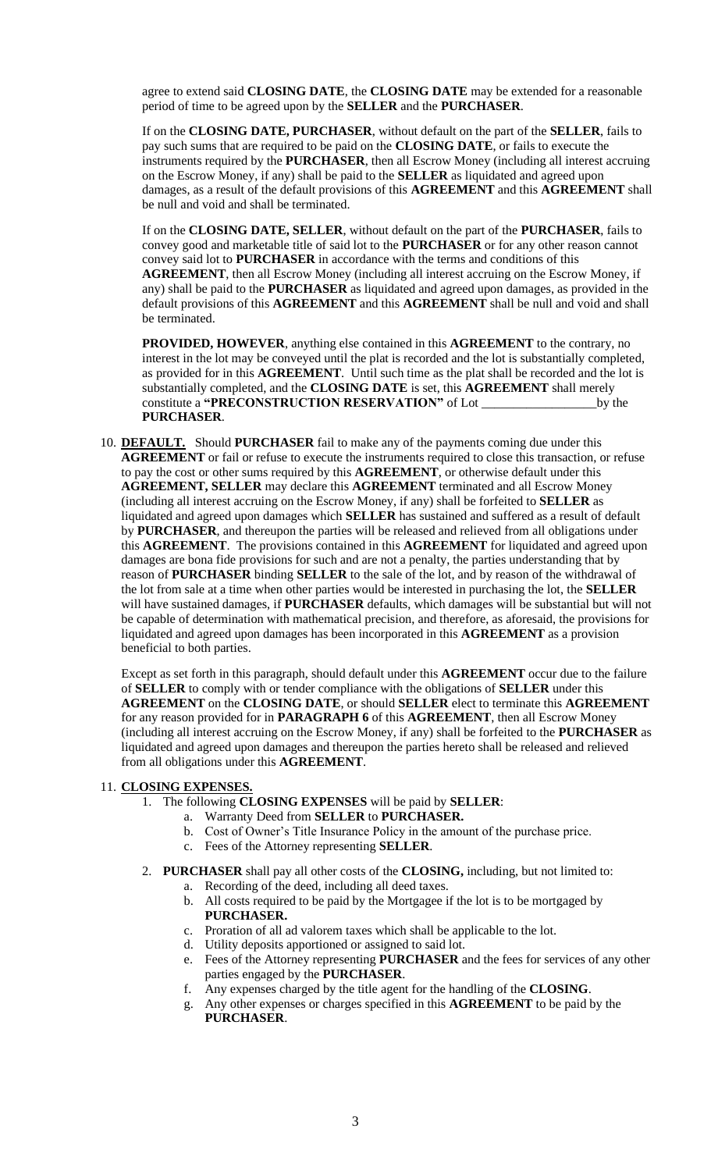agree to extend said **CLOSING DATE**, the **CLOSING DATE** may be extended for a reasonable period of time to be agreed upon by the **SELLER** and the **PURCHASER**.

If on the **CLOSING DATE, PURCHASER**, without default on the part of the **SELLER**, fails to pay such sums that are required to be paid on the **CLOSING DATE**, or fails to execute the instruments required by the **PURCHASER**, then all Escrow Money (including all interest accruing on the Escrow Money, if any) shall be paid to the **SELLER** as liquidated and agreed upon damages, as a result of the default provisions of this **AGREEMENT** and this **AGREEMENT** shall be null and void and shall be terminated.

If on the **CLOSING DATE, SELLER**, without default on the part of the **PURCHASER**, fails to convey good and marketable title of said lot to the **PURCHASER** or for any other reason cannot convey said lot to **PURCHASER** in accordance with the terms and conditions of this **AGREEMENT**, then all Escrow Money (including all interest accruing on the Escrow Money, if any) shall be paid to the **PURCHASER** as liquidated and agreed upon damages, as provided in the default provisions of this **AGREEMENT** and this **AGREEMENT** shall be null and void and shall be terminated.

**PROVIDED, HOWEVER**, anything else contained in this **AGREEMENT** to the contrary, no interest in the lot may be conveyed until the plat is recorded and the lot is substantially completed, as provided for in this **AGREEMENT**. Until such time as the plat shall be recorded and the lot is substantially completed, and the **CLOSING DATE** is set, this **AGREEMENT** shall merely constitute a **"PRECONSTRUCTION RESERVATION"** of Lot \_\_\_\_\_\_\_\_\_\_\_\_\_\_\_\_\_\_by the **PURCHASER**.

10. **DEFAULT.** Should **PURCHASER** fail to make any of the payments coming due under this **AGREEMENT** or fail or refuse to execute the instruments required to close this transaction, or refuse to pay the cost or other sums required by this **AGREEMENT**, or otherwise default under this **AGREEMENT, SELLER** may declare this **AGREEMENT** terminated and all Escrow Money (including all interest accruing on the Escrow Money, if any) shall be forfeited to **SELLER** as liquidated and agreed upon damages which **SELLER** has sustained and suffered as a result of default by **PURCHASER**, and thereupon the parties will be released and relieved from all obligations under this **AGREEMENT**. The provisions contained in this **AGREEMENT** for liquidated and agreed upon damages are bona fide provisions for such and are not a penalty, the parties understanding that by reason of **PURCHASER** binding **SELLER** to the sale of the lot, and by reason of the withdrawal of the lot from sale at a time when other parties would be interested in purchasing the lot, the **SELLER** will have sustained damages, if **PURCHASER** defaults, which damages will be substantial but will not be capable of determination with mathematical precision, and therefore, as aforesaid, the provisions for liquidated and agreed upon damages has been incorporated in this **AGREEMENT** as a provision beneficial to both parties.

Except as set forth in this paragraph, should default under this **AGREEMENT** occur due to the failure of **SELLER** to comply with or tender compliance with the obligations of **SELLER** under this **AGREEMENT** on the **CLOSING DATE**, or should **SELLER** elect to terminate this **AGREEMENT** for any reason provided for in **PARAGRAPH 6** of this **AGREEMENT**, then all Escrow Money (including all interest accruing on the Escrow Money, if any) shall be forfeited to the **PURCHASER** as liquidated and agreed upon damages and thereupon the parties hereto shall be released and relieved from all obligations under this **AGREEMENT**.

## 11. **CLOSING EXPENSES.**

- 1. The following **CLOSING EXPENSES** will be paid by **SELLER**:
	- a. Warranty Deed from **SELLER** to **PURCHASER.**
	- b. Cost of Owner's Title Insurance Policy in the amount of the purchase price.
	- c. Fees of the Attorney representing **SELLER**.
- 2. **PURCHASER** shall pay all other costs of the **CLOSING,** including, but not limited to: a. Recording of the deed, including all deed taxes.
	- b. All costs required to be paid by the Mortgagee if the lot is to be mortgaged by **PURCHASER.**
	- c. Proration of all ad valorem taxes which shall be applicable to the lot.
	- d. Utility deposits apportioned or assigned to said lot.
	- e. Fees of the Attorney representing **PURCHASER** and the fees for services of any other parties engaged by the **PURCHASER**.
	- f. Any expenses charged by the title agent for the handling of the **CLOSING**.
	- g. Any other expenses or charges specified in this **AGREEMENT** to be paid by the **PURCHASER**.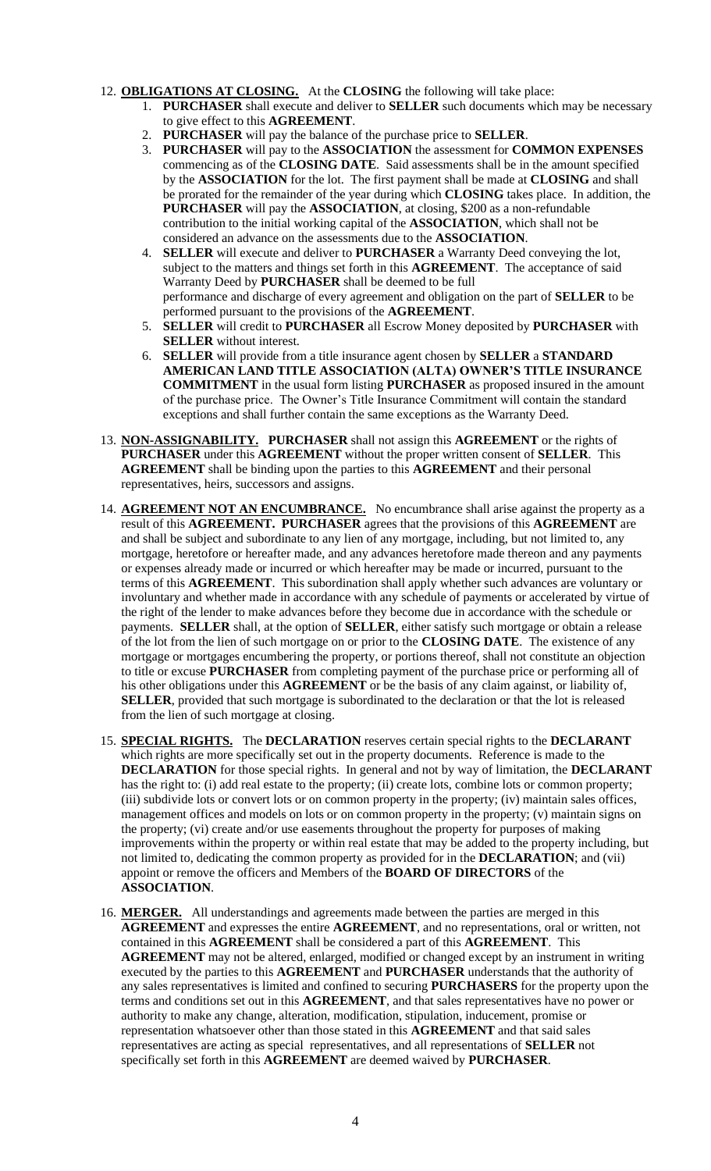## 12. **OBLIGATIONS AT CLOSING.** At the **CLOSING** the following will take place:

- 1. **PURCHASER** shall execute and deliver to **SELLER** such documents which may be necessary to give effect to this **AGREEMENT**.
- 2. **PURCHASER** will pay the balance of the purchase price to **SELLER**.
- 3. **PURCHASER** will pay to the **ASSOCIATION** the assessment for **COMMON EXPENSES** commencing as of the **CLOSING DATE**. Said assessments shall be in the amount specified by the **ASSOCIATION** for the lot. The first payment shall be made at **CLOSING** and shall be prorated for the remainder of the year during which **CLOSING** takes place. In addition, the **PURCHASER** will pay the **ASSOCIATION**, at closing, \$200 as a non-refundable contribution to the initial working capital of the **ASSOCIATION**, which shall not be considered an advance on the assessments due to the **ASSOCIATION**.
- 4. **SELLER** will execute and deliver to **PURCHASER** a Warranty Deed conveying the lot, subject to the matters and things set forth in this **AGREEMENT**. The acceptance of said Warranty Deed by **PURCHASER** shall be deemed to be full performance and discharge of every agreement and obligation on the part of **SELLER** to be performed pursuant to the provisions of the **AGREEMENT**.
- 5. **SELLER** will credit to **PURCHASER** all Escrow Money deposited by **PURCHASER** with **SELLER** without interest.
- 6. **SELLER** will provide from a title insurance agent chosen by **SELLER** a **STANDARD AMERICAN LAND TITLE ASSOCIATION (ALTA) OWNER'S TITLE INSURANCE COMMITMENT** in the usual form listing **PURCHASER** as proposed insured in the amount of the purchase price. The Owner's Title Insurance Commitment will contain the standard exceptions and shall further contain the same exceptions as the Warranty Deed.
- 13. **NON-ASSIGNABILITY. PURCHASER** shall not assign this **AGREEMENT** or the rights of **PURCHASER** under this **AGREEMENT** without the proper written consent of **SELLER**. This **AGREEMENT** shall be binding upon the parties to this **AGREEMENT** and their personal representatives, heirs, successors and assigns.
- 14. **AGREEMENT NOT AN ENCUMBRANCE.** No encumbrance shall arise against the property as a result of this **AGREEMENT. PURCHASER** agrees that the provisions of this **AGREEMENT** are and shall be subject and subordinate to any lien of any mortgage, including, but not limited to, any mortgage, heretofore or hereafter made, and any advances heretofore made thereon and any payments or expenses already made or incurred or which hereafter may be made or incurred, pursuant to the terms of this **AGREEMENT**. This subordination shall apply whether such advances are voluntary or involuntary and whether made in accordance with any schedule of payments or accelerated by virtue of the right of the lender to make advances before they become due in accordance with the schedule or payments. **SELLER** shall, at the option of **SELLER**, either satisfy such mortgage or obtain a release of the lot from the lien of such mortgage on or prior to the **CLOSING DATE**. The existence of any mortgage or mortgages encumbering the property, or portions thereof, shall not constitute an objection to title or excuse **PURCHASER** from completing payment of the purchase price or performing all of his other obligations under this **AGREEMENT** or be the basis of any claim against, or liability of, **SELLER**, provided that such mortgage is subordinated to the declaration or that the lot is released from the lien of such mortgage at closing.
- 15. **SPECIAL RIGHTS.** The **DECLARATION** reserves certain special rights to the **DECLARANT** which rights are more specifically set out in the property documents. Reference is made to the **DECLARATION** for those special rights. In general and not by way of limitation, the **DECLARANT** has the right to: (i) add real estate to the property; (ii) create lots, combine lots or common property; (iii) subdivide lots or convert lots or on common property in the property; (iv) maintain sales offices, management offices and models on lots or on common property in the property; (v) maintain signs on the property; (vi) create and/or use easements throughout the property for purposes of making improvements within the property or within real estate that may be added to the property including, but not limited to, dedicating the common property as provided for in the **DECLARATION**; and (vii) appoint or remove the officers and Members of the **BOARD OF DIRECTORS** of the **ASSOCIATION**.
- 16. **MERGER.** All understandings and agreements made between the parties are merged in this **AGREEMENT** and expresses the entire **AGREEMENT**, and no representations, oral or written, not contained in this **AGREEMENT** shall be considered a part of this **AGREEMENT**. This **AGREEMENT** may not be altered, enlarged, modified or changed except by an instrument in writing executed by the parties to this **AGREEMENT** and **PURCHASER** understands that the authority of any sales representatives is limited and confined to securing **PURCHASERS** for the property upon the terms and conditions set out in this **AGREEMENT**, and that sales representatives have no power or authority to make any change, alteration, modification, stipulation, inducement, promise or representation whatsoever other than those stated in this **AGREEMENT** and that said sales representatives are acting as special representatives, and all representations of **SELLER** not specifically set forth in this **AGREEMENT** are deemed waived by **PURCHASER**.